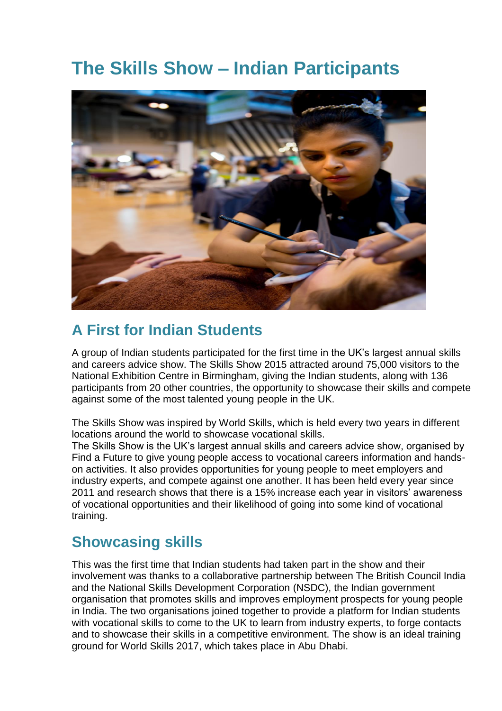# **The Skills Show – Indian Participants**



# **A First for Indian Students**

A group of Indian students participated for the first time in the UK's largest annual skills and careers advice show. The Skills Show 2015 attracted around 75,000 visitors to the National Exhibition Centre in Birmingham, giving the Indian students, along with 136 participants from 20 other countries, the opportunity to showcase their skills and compete against some of the most talented young people in the UK.

The Skills Show was inspired by World Skills, which is held every two years in different locations around the world to showcase vocational skills.

The Skills Show is the UK's largest annual skills and careers advice show, organised by Find a Future to give young people access to vocational careers information and handson activities. It also provides opportunities for young people to meet employers and industry experts, and compete against one another. It has been held every year since 2011 and research shows that there is a 15% increase each year in visitors' awareness of vocational opportunities and their likelihood of going into some kind of vocational training.

## **Showcasing skills**

This was the first time that Indian students had taken part in the show and their involvement was thanks to a collaborative partnership between The British Council India and the National Skills Development Corporation (NSDC), the Indian government organisation that promotes skills and improves employment prospects for young people in India. The two organisations joined together to provide a platform for Indian students with vocational skills to come to the UK to learn from industry experts, to forge contacts and to showcase their skills in a competitive environment. The show is an ideal training ground for World Skills 2017, which takes place in Abu Dhabi.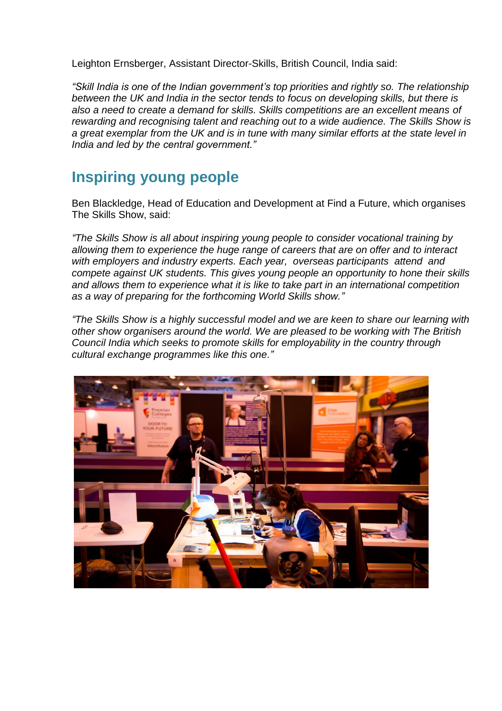Leighton Ernsberger, Assistant Director-Skills, British Council, India said:

*"Skill India is one of the Indian government's top priorities and rightly so. The relationship between the UK and India in the sector tends to focus on developing skills, but there is also a need to create a demand for skills. Skills competitions are an excellent means of rewarding and recognising talent and reaching out to a wide audience. The Skills Show is a great exemplar from the UK and is in tune with many similar efforts at the state level in India and led by the central government."*

## **Inspiring young people**

Ben Blackledge, Head of Education and Development at Find a Future, which organises The Skills Show, said:

*"The Skills Show is all about inspiring young people to consider vocational training by allowing them to experience the huge range of careers that are on offer and to interact with employers and industry experts. Each year, overseas participants attend and compete against UK students. This gives young people an opportunity to hone their skills and allows them to experience what it is like to take part in an international competition as a way of preparing for the forthcoming World Skills show."*

*"The Skills Show is a highly successful model and we are keen to share our learning with other show organisers around the world. We are pleased to be working with The British Council India which seeks to promote skills for employability in the country through cultural exchange programmes like this one."*

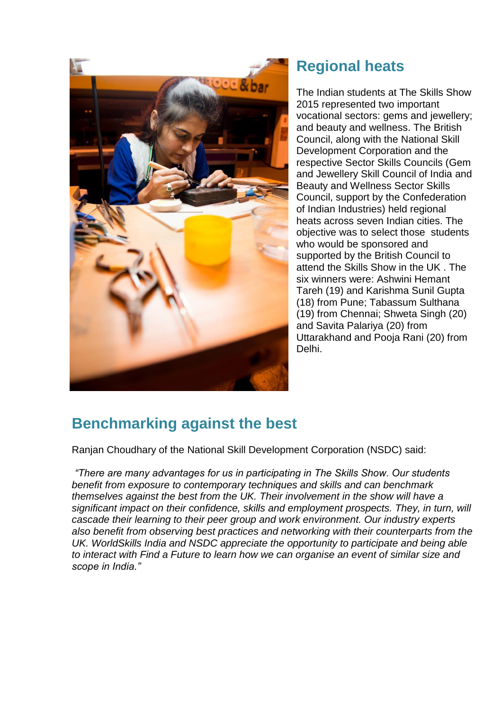

# **Regional heats**

The Indian students at The Skills Show 2015 represented two important vocational sectors: gems and jewellery; and beauty and wellness. The British Council, along with the National Skill Development Corporation and the respective Sector Skills Councils (Gem and Jewellery Skill Council of India and Beauty and Wellness Sector Skills Council, support by the Confederation of Indian Industries) held regional heats across seven Indian cities. The objective was to select those students who would be sponsored and supported by the British Council to attend the Skills Show in the UK . The six winners were: Ashwini Hemant Tareh (19) and Karishma Sunil Gupta (18) from Pune; Tabassum Sulthana (19) from Chennai; Shweta Singh (20) and Savita Palariya (20) from Uttarakhand and Pooja Rani (20) from Delhi.

## **Benchmarking against the best**

Ranjan Choudhary of the National Skill Development Corporation (NSDC) said:

*"There are many advantages for us in participating in The Skills Show. Our students benefit from exposure to contemporary techniques and skills and can benchmark themselves against the best from the UK. Their involvement in the show will have a significant impact on their confidence, skills and employment prospects. They, in turn, will cascade their learning to their peer group and work environment. Our industry experts also benefit from observing best practices and networking with their counterparts from the UK. WorldSkills India and NSDC appreciate the opportunity to participate and being able to interact with Find a Future to learn how we can organise an event of similar size and scope in India."*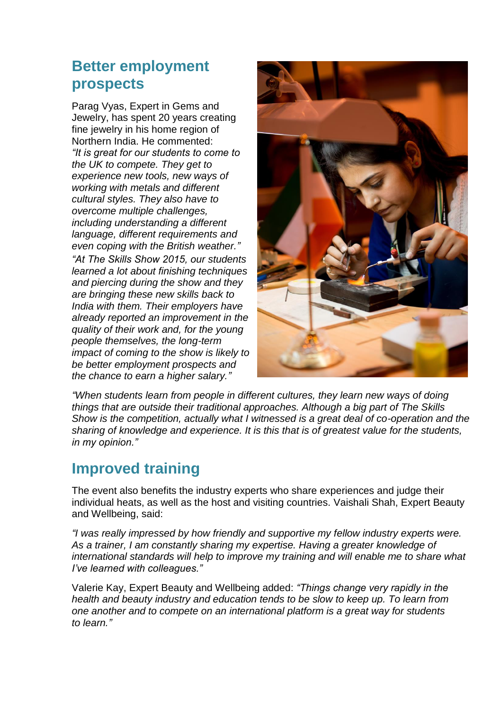# **Better employment prospects**

Parag Vyas, Expert in Gems and Jewelry, has spent 20 years creating fine jewelry in his home region of Northern India. He commented: *"It is great for our students to come to the UK to compete. They get to experience new tools, new ways of working with metals and different cultural styles. They also have to overcome multiple challenges, including understanding a different language, different requirements and even coping with the British weather." "At The Skills Show 2015, our students learned a lot about finishing techniques and piercing during the show and they are bringing these new skills back to India with them. Their employers have already reported an improvement in the quality of their work and, for the young people themselves, the long-term impact of coming to the show is likely to be better employment prospects and the chance to earn a higher salary."*



*"When students learn from people in different cultures, they learn new ways of doing things that are outside their traditional approaches. Although a big part of The Skills Show is the competition, actually what I witnessed is a great deal of co-operation and the sharing of knowledge and experience. It is this that is of greatest value for the students, in my opinion."*

# **Improved training**

The event also benefits the industry experts who share experiences and judge their individual heats, as well as the host and visiting countries. Vaishali Shah, Expert Beauty and Wellbeing, said:

*"I was really impressed by how friendly and supportive my fellow industry experts were. As a trainer, I am constantly sharing my expertise. Having a greater knowledge of international standards will help to improve my training and will enable me to share what I've learned with colleagues."*

Valerie Kay, Expert Beauty and Wellbeing added: *"Things change very rapidly in the health and beauty industry and education tends to be slow to keep up. To learn from one another and to compete on an international platform is a great way for students to learn."*